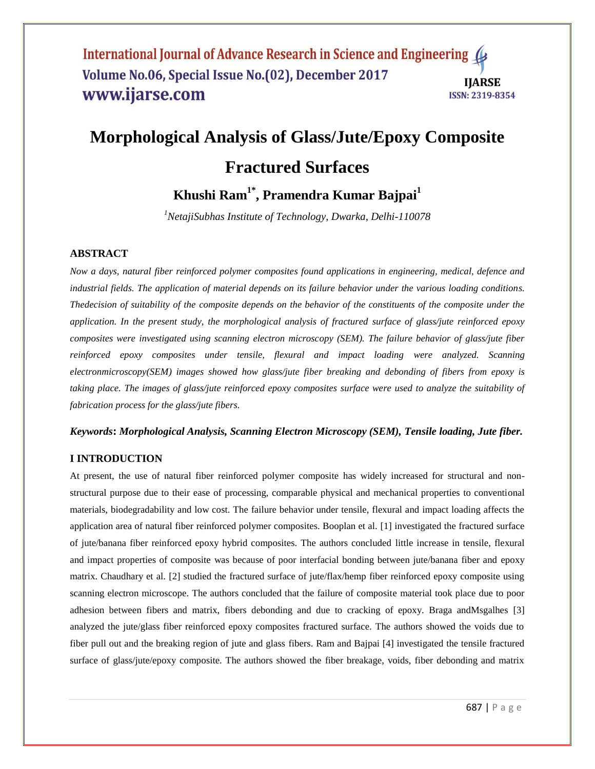### International Journal of Advance Research in Science and Engineering Volume No.06, Special Issue No.(02), December 2017 **IIARSE** www.ijarse.com **ISSN: 2319-8354**

# **Morphological Analysis of Glass/Jute/Epoxy Composite**

# **Fractured Surfaces**

**Khushi Ram1\* , Pramendra Kumar Bajpai<sup>1</sup>**

*<sup>1</sup>NetajiSubhas Institute of Technology, Dwarka, Delhi-110078*

## **ABSTRACT**

*Now a days, natural fiber reinforced polymer composites found applications in engineering, medical, defence and industrial fields. The application of material depends on its failure behavior under the various loading conditions. Thedecision of suitability of the composite depends on the behavior of the constituents of the composite under the application. In the present study, the morphological analysis of fractured surface of glass/jute reinforced epoxy composites were investigated using scanning electron microscopy (SEM). The failure behavior of glass/jute fiber reinforced epoxy composites under tensile, flexural and impact loading were analyzed. Scanning electronmicroscopy(SEM) images showed how glass/jute fiber breaking and debonding of fibers from epoxy is taking place. The images of glass/jute reinforced epoxy composites surface were used to analyze the suitability of fabrication process for the glass/jute fibers.*

#### *Keywords***:** *Morphological Analysis, Scanning Electron Microscopy (SEM), Tensile loading, Jute fiber.*

#### **I INTRODUCTION**

At present, the use of natural fiber reinforced polymer composite has widely increased for structural and nonstructural purpose due to their ease of processing, comparable physical and mechanical properties to conventional materials, biodegradability and low cost. The failure behavior under tensile, flexural and impact loading affects the application area of natural fiber reinforced polymer composites. Booplan et al. [1] investigated the fractured surface of jute/banana fiber reinforced epoxy hybrid composites. The authors concluded little increase in tensile, flexural and impact properties of composite was because of poor interfacial bonding between jute/banana fiber and epoxy matrix. Chaudhary et al. [2] studied the fractured surface of jute/flax/hemp fiber reinforced epoxy composite using scanning electron microscope. The authors concluded that the failure of composite material took place due to poor adhesion between fibers and matrix, fibers debonding and due to cracking of epoxy. Braga andMsgalhes [3] analyzed the jute/glass fiber reinforced epoxy composites fractured surface. The authors showed the voids due to fiber pull out and the breaking region of jute and glass fibers. Ram and Bajpai [4] investigated the tensile fractured surface of glass/jute/epoxy composite. The authors showed the fiber breakage, voids, fiber debonding and matrix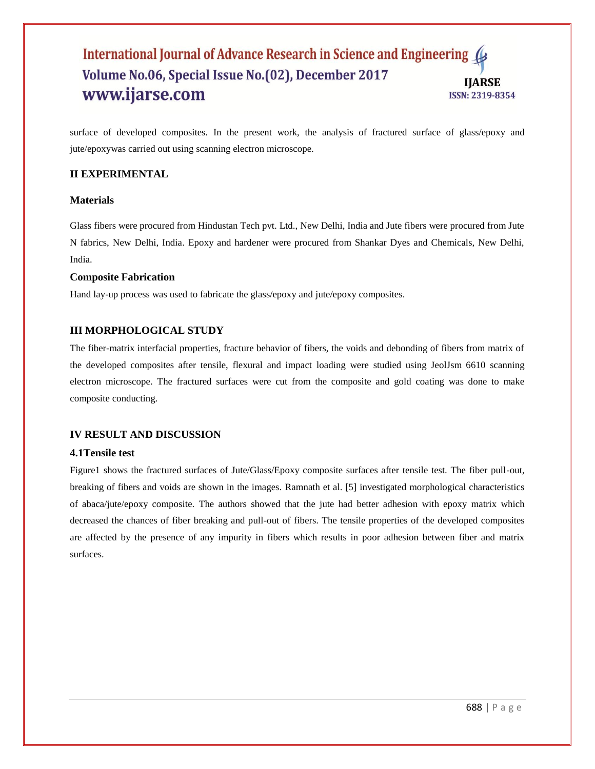## International Journal of Advance Research in Science and Engineering Volume No.06, Special Issue No.(02), December 2017 **IIARSE** www.ijarse.com **ISSN: 2319-8354**

surface of developed composites. In the present work, the analysis of fractured surface of glass/epoxy and jute/epoxywas carried out using scanning electron microscope.

## **II EXPERIMENTAL**

#### **Materials**

Glass fibers were procured from Hindustan Tech pvt. Ltd., New Delhi, India and Jute fibers were procured from Jute N fabrics, New Delhi, India. Epoxy and hardener were procured from Shankar Dyes and Chemicals, New Delhi, India.

#### **Composite Fabrication**

Hand lay-up process was used to fabricate the glass/epoxy and jute/epoxy composites.

## **III MORPHOLOGICAL STUDY**

The fiber-matrix interfacial properties, fracture behavior of fibers, the voids and debonding of fibers from matrix of the developed composites after tensile, flexural and impact loading were studied using JeolJsm 6610 scanning electron microscope. The fractured surfaces were cut from the composite and gold coating was done to make composite conducting.

#### **IV RESULT AND DISCUSSION**

#### **4.1Tensile test**

Figure1 shows the fractured surfaces of Jute/Glass/Epoxy composite surfaces after tensile test. The fiber pull-out, breaking of fibers and voids are shown in the images. Ramnath et al. [5] investigated morphological characteristics of abaca/jute/epoxy composite. The authors showed that the jute had better adhesion with epoxy matrix which decreased the chances of fiber breaking and pull-out of fibers. The tensile properties of the developed composites are affected by the presence of any impurity in fibers which results in poor adhesion between fiber and matrix surfaces.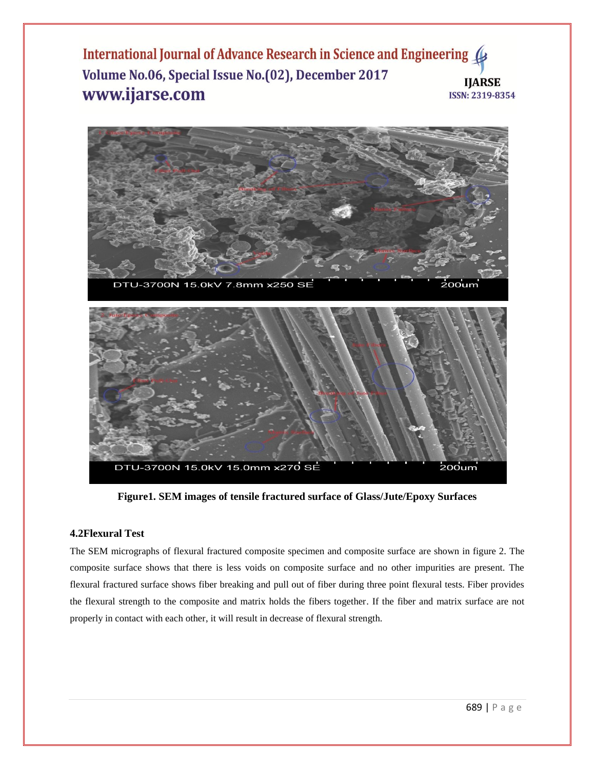International Journal of Advance Research in Science and Engineering ( Volume No.06, Special Issue No.(02), December 2017 **IIARSE** www.ijarse.com **ISSN: 2319-8354** 



**Figure1. SEM images of tensile fractured surface of Glass/Jute/Epoxy Surfaces**

# **4.2Flexural Test**

The SEM micrographs of flexural fractured composite specimen and composite surface are shown in figure 2. The composite surface shows that there is less voids on composite surface and no other impurities are present. The flexural fractured surface shows fiber breaking and pull out of fiber during three point flexural tests. Fiber provides the flexural strength to the composite and matrix holds the fibers together. If the fiber and matrix surface are not properly in contact with each other, it will result in decrease of flexural strength.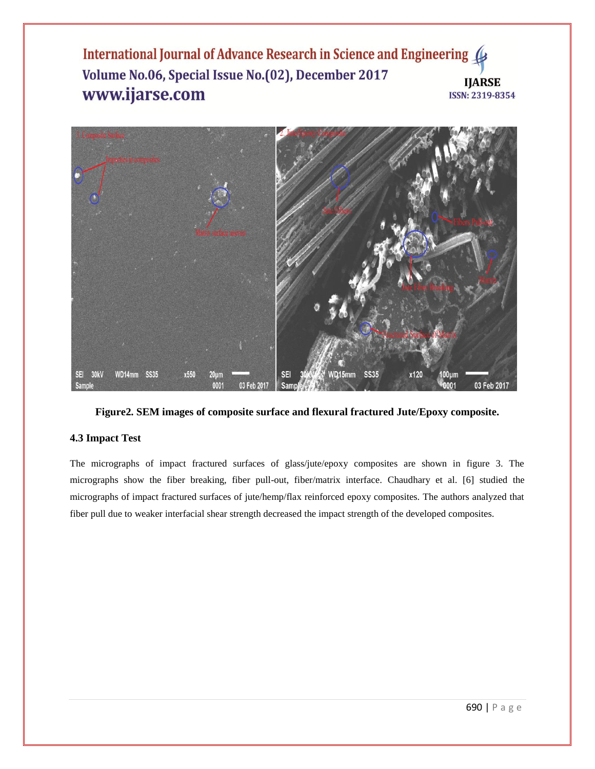International Journal of Advance Research in Science and Engineering ( Volume No.06, Special Issue No.(02), December 2017 **IJARSE** www.ijarse.com ISSN: 2319-8354



**Figure2. SEM images of composite surface and flexural fractured Jute/Epoxy composite.**

# **4.3 Impact Test**

The micrographs of impact fractured surfaces of glass/jute/epoxy composites are shown in figure 3. The micrographs show the fiber breaking, fiber pull-out, fiber/matrix interface. Chaudhary et al. [6] studied the micrographs of impact fractured surfaces of jute/hemp/flax reinforced epoxy composites. The authors analyzed that fiber pull due to weaker interfacial shear strength decreased the impact strength of the developed composites.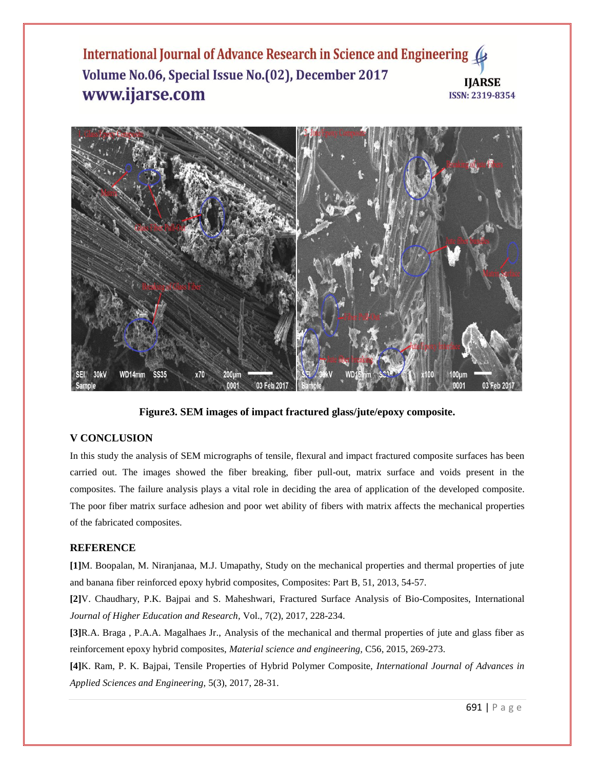International Journal of Advance Research in Science and Engineering ( Volume No.06, Special Issue No.(02), December 2017 **IIARSE** www.ijarse.com **ISSN: 2319-8354** 



**Figure3. SEM images of impact fractured glass/jute/epoxy composite.**

# **V CONCLUSION**

In this study the analysis of SEM micrographs of tensile, flexural and impact fractured composite surfaces has been carried out. The images showed the fiber breaking, fiber pull-out, matrix surface and voids present in the composites. The failure analysis plays a vital role in deciding the area of application of the developed composite. The poor fiber matrix surface adhesion and poor wet ability of fibers with matrix affects the mechanical properties of the fabricated composites.

# **REFERENCE**

**[1]**M. Boopalan, M. Niranjanaa, M.J. Umapathy, Study on the mechanical properties and thermal properties of jute and banana fiber reinforced epoxy hybrid composites, Composites: Part B, 51, 2013, 54-57.

**[2]**V. Chaudhary, P.K. Bajpai and S. Maheshwari, Fractured Surface Analysis of Bio-Composites, International *Journal of Higher Education and Research,* Vol., 7(2), 2017, 228-234.

**[3]**R.A. Braga , P.A.A. Magalhaes Jr., Analysis of the mechanical and thermal properties of jute and glass fiber as reinforcement epoxy hybrid composites, *Material science and engineering,* C56, 2015, 269-273.

**[4]**K. Ram, P. K. Bajpai, Tensile Properties of Hybrid Polymer Composite, *International Journal of Advances in Applied Sciences and Engineering,* 5(3), 2017, 28-31.